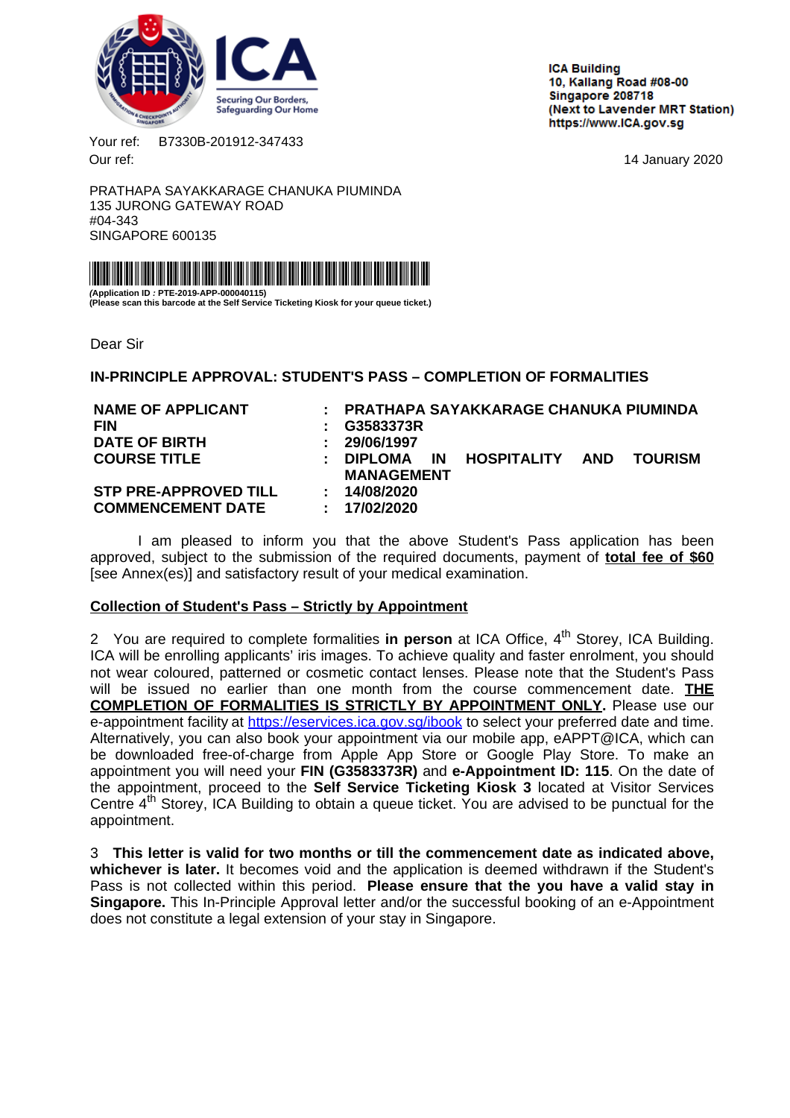<span id="page-0-0"></span>

**ICA Building** 10. Kallang Road #08-00 Singapore 208718 (Next to Lavender MRT Station) https://www.ICA.gov.sg

Your ref: B7330B-201912-347433 Our ref: 14 January 2020

PRATHAPA SAYAKKARAGE CHANUKA PIUMINDA 135 JURONG GATEWAY ROAD #04-343 SINGAPORE 600135



**(Application ID : PTE-2019-APP-000040115) (Please scan this barcode at the Self Service Ticketing Kiosk for your queue ticket.)**

Dear Sir

**IN-PRINCIPLE APPROVAL: STUDENT'S PASS – COMPLETION OF FORMALITIES**

| <b>NAME OF APPLICANT</b>     |                              |                   |           | : PRATHAPA SAYAKKARAGE CHANUKA PIUMINDA |  |                |
|------------------------------|------------------------------|-------------------|-----------|-----------------------------------------|--|----------------|
| <b>FIN</b>                   |                              | G3583373R         |           |                                         |  |                |
| <b>DATE OF BIRTH</b>         | ÷                            | 29/06/1997        |           |                                         |  |                |
| <b>COURSE TITLE</b>          | ÷.                           | <b>DIPLOMA</b>    | <b>IN</b> | HOSPITALITY AND                         |  | <b>TOURISM</b> |
|                              |                              | <b>MANAGEMENT</b> |           |                                         |  |                |
| <b>STP PRE-APPROVED TILL</b> | $\mathbf{L}$                 | 14/08/2020        |           |                                         |  |                |
| <b>COMMENCEMENT DATE</b>     | $\mathcal{L}_{\mathrm{max}}$ | 17/02/2020        |           |                                         |  |                |
|                              |                              |                   |           |                                         |  |                |

I am pleased to inform you that the above Student's Pass application has been approved, subject to the submission of the required documents, payment of **total fee of \$60** [see Annex(es)] and satisfactory result of your medical examination.

# **Collection of Student's Pass – Strictly by Appointment**

2 You are required to complete formalities in person at ICA Office, 4<sup>th</sup> Storey, ICA Building. ICA will be enrolling applicants' iris images. To achieve quality and faster enrolment, you should not wear coloured, patterned or cosmetic contact lenses. Please note that the Student's Pass will be issued no earlier than one month from the course commencement date. **THE COMPLETION OF FORMALITIES IS STRICTLY BY APPOINTMENT ONLY.** Please use our e-appointment facility at <https://eservices.ica.gov.sg/ibook> to select your preferred date and time. Alternatively, you can also book your appointment via our mobile app, eAPPT@ICA, which can be downloaded free-of-charge from Apple App Store or Google Play Store. To make an appointment you will need your **FIN (G3583373R)** and **e-Appointment ID: 115**. On the date of the appointment, proceed to the **Self Service Ticketing Kiosk 3** located at Visitor Services Centre  $4<sup>th</sup>$  Storey, ICA Building to obtain a queue ticket. You are advised to be punctual for the appointment.

3 **This letter is valid for two months or till the commencement date as indicated above, whichever is later.** It becomes void and the application is deemed withdrawn if the Student's Pass is not collected within this period. **Please ensure that the you have a valid stay in Singapore.** This In-Principle Approval letter and/or the successful booking of an e-Appointment does not constitute a legal extension of your stay in Singapore.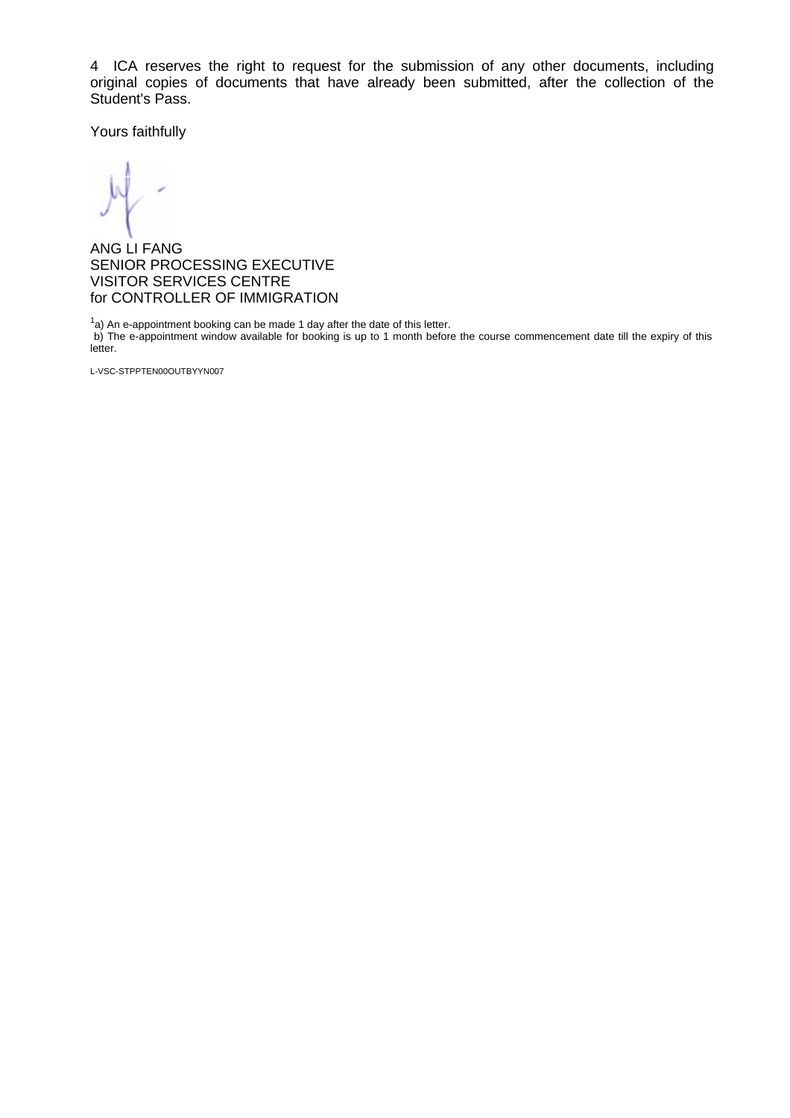4 ICA reserves the right to request for the submission of any other documents, including original copies of documents that have already been submitted, after the collection of the Student's Pass.

Yours faithfully

ANG LI FANG SENIOR PROCESSING EXECUTIVE VISITOR SERVICES CENTRE for CONTROLLER OF IMMIGRATION

 $1a$ ) An e-appointment booking can be made 1 day after the date of this letter.

b) The e-appointment window available for booking is up to 1 month before the course commencement date till the expiry of this letter.

L-VSC-STPPTEN00OUTBYYN007